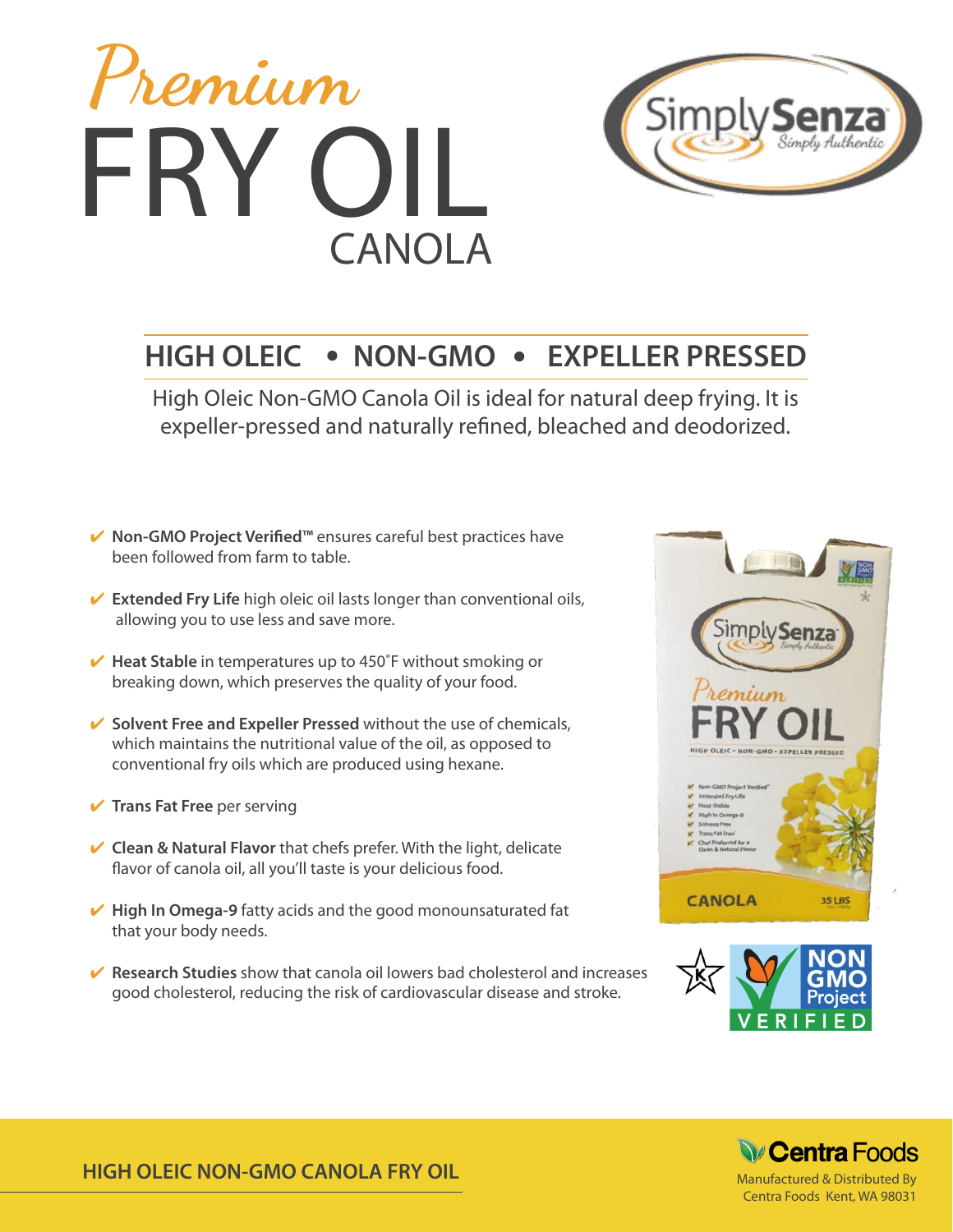



### **HIGH OLEIC • NON-GMO • EXPELLER PRESSED**

High Oleic Non-GMO Canola Oil is ideal for natural deep frying. It is expeller-pressed and naturally refned, bleached and deodorized.

- ✔ **Non-GMO Project Verifed™** ensures careful best practices have been followed from farm to table.
- **► Extended Fry Life** high oleic oil lasts longer than conventional oils, allowing you to use less and save more.
- **Heat Stable** in temperatures up to 450°F without smoking or breaking down, which preserves the quality of your food.
- **► Solvent Free and Expeller Pressed** without the use of chemicals, which maintains the nutritional value of the oil, as opposed to conventional fry oils which are produced using hexane.
- ✔ **Trans Fat Free** per serving
- **✓ Clean & Natural Flavor** that chefs prefer. With the light, delicate flavor of canola oil, all you'll taste is your delicious food.
- ✔ **High In Omega-9** fatty acids and the good monounsaturated fat that your body needs.
- ✔ **Research Studies** show that canola oil lowers bad cholesterol and increases good cholesterol, reducing the risk of cardiovascular disease and stroke.







Centra Foods Kent, WA 98031

**HIGH OLEIC NON-GMO CANOLA FRY OIL**